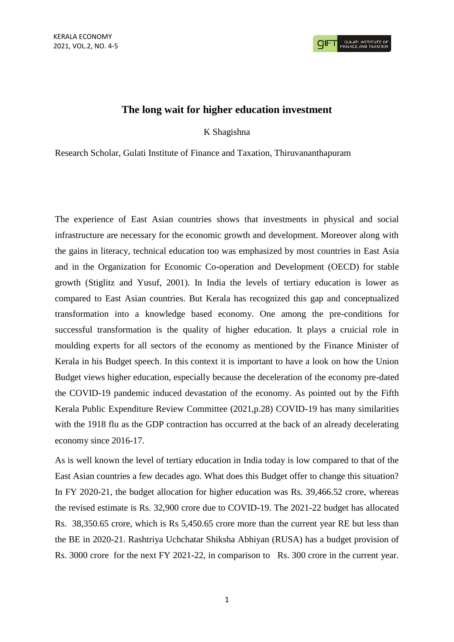## **The long wait for higher education investment**

K Shagishna

Research Scholar, Gulati Institute of Finance and Taxation, Thiruvananthapuram

The experience of East Asian countries shows that investments in physical and social infrastructure are necessary for the economic growth and development. Moreover along with the gains in literacy, technical education too was emphasized by most countries in East Asia and in the Organization for Economic Co-operation and Development (OECD) for stable growth (Stiglitz and Yusuf, 2001). In India the levels of tertiary education is lower as compared to East Asian countries. But Kerala has recognized this gap and conceptualized transformation into a knowledge based economy. One among the pre-conditions for successful transformation is the quality of higher education. It plays a cruicial role in moulding experts for all sectors of the economy as mentioned by the Finance Minister of Kerala in his Budget speech. In this context it is important to have a look on how the Union Budget views higher education, especially because the deceleration of the economy pre-dated the COVID-19 pandemic induced devastation of the economy. As pointed out by the Fifth Kerala Public Expenditure Review Committee (2021,p.28) COVID-19 has many similarities with the 1918 flu as the GDP contraction has occurred at the back of an already decelerating economy since 2016-17.

As is well known the level of tertiary education in India today is low compared to that of the East Asian countries a few decades ago. What does this Budget offer to change this situation? In FY 2020-21, the budget allocation for higher education was Rs. 39,466.52 crore, whereas the revised estimate is Rs. 32,900 crore due to COVID-19. The 2021-22 budget has allocated Rs. 38,350.65 crore, which is Rs 5,450.65 crore more than the current year RE but less than the BE in 2020-21. Rashtriya Uchchatar Shiksha Abhiyan (RUSA) has a budget provision of Rs. 3000 crore for the next FY 2021-22, in comparison to Rs. 300 crore in the current year.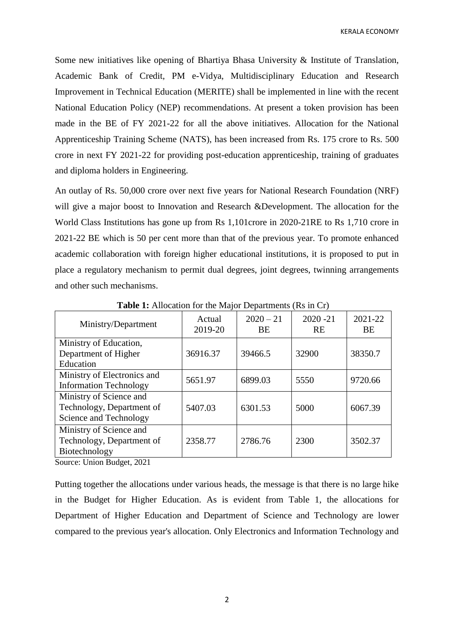KERALA ECONOMY

Some new initiatives like opening of Bhartiya Bhasa University & Institute of Translation, Academic Bank of Credit, PM e-Vidya, Multidisciplinary Education and Research Improvement in Technical Education (MERITE) shall be implemented in line with the recent National Education Policy (NEP) recommendations. At present a token provision has been made in the BE of FY 2021-22 for all the above initiatives. Allocation for the National Apprenticeship Training Scheme (NATS), has been increased from Rs. 175 crore to Rs. 500 crore in next FY 2021-22 for providing post-education apprenticeship, training of graduates and diploma holders in Engineering.

An outlay of Rs. 50,000 crore over next five years for National Research Foundation (NRF) will give a major boost to Innovation and Research &Development. The allocation for the World Class Institutions has gone up from Rs 1,101crore in 2020-21RE to Rs 1,710 crore in 2021-22 BE which is 50 per cent more than that of the previous year. To promote enhanced academic collaboration with foreign higher educational institutions, it is proposed to put in place a regulatory mechanism to permit dual degrees, joint degrees, twinning arrangements and other such mechanisms.

| Ministry/Department                                                            | Actual<br>2019-20 | $2020 - 21$<br>BE | $2020 - 21$<br><b>RE</b> | 2021-22<br><b>BE</b> |
|--------------------------------------------------------------------------------|-------------------|-------------------|--------------------------|----------------------|
| Ministry of Education,<br>Department of Higher                                 | 36916.37          | 39466.5           | 32900                    | 38350.7              |
| Education                                                                      |                   |                   |                          |                      |
| Ministry of Electronics and<br><b>Information Technology</b>                   | 5651.97           | 6899.03           | 5550                     | 9720.66              |
| Ministry of Science and<br>Technology, Department of<br>Science and Technology | 5407.03           | 6301.53           | 5000                     | 6067.39              |
| Ministry of Science and<br>Technology, Department of<br>Biotechnology          | 2358.77           | 2786.76           | 2300                     | 3502.37              |

**Table 1:** Allocation for the Major Departments (Rs in Cr)

Source: Union Budget, 2021

Putting together the allocations under various heads, the message is that there is no large hike in the Budget for Higher Education. As is evident from Table 1, the allocations for Department of Higher Education and Department of Science and Technology are lower compared to the previous year's allocation. Only Electronics and Information Technology and